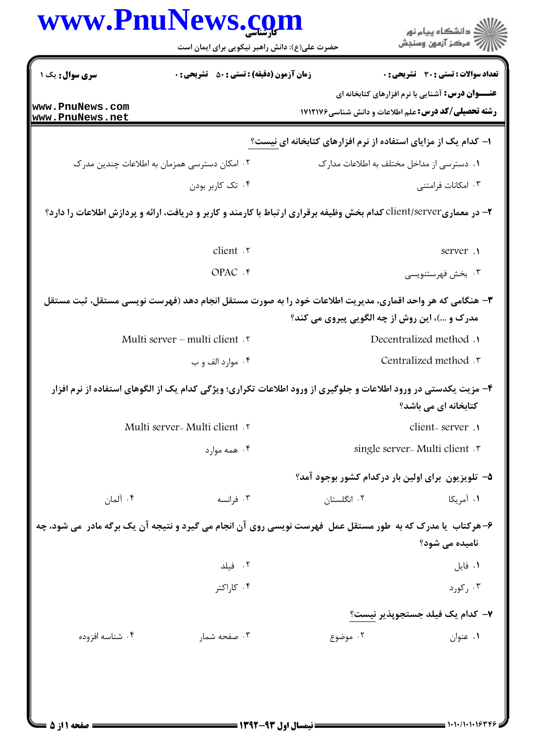|                 | www.PnuNews.com                                                                                                     |                                                                | ر<br>دانشڪاه پيام نور)<br>اڳ مرڪز آزمون وسنڊش           |
|-----------------|---------------------------------------------------------------------------------------------------------------------|----------------------------------------------------------------|---------------------------------------------------------|
|                 | حضرت علی(ع): دانش راهبر نیکویی برای ایمان است                                                                       |                                                                |                                                         |
| سری سوال: یک ۱  | <b>زمان آزمون (دقیقه) : تستی : 50 ٪ تشریحی : 0</b>                                                                  |                                                                | تعداد سوالات : تستى : 30 - تشريحي : 0                   |
| www.PnuNews.com |                                                                                                                     |                                                                | <b>عنـــوان درس:</b> آشنایی با نرم افزارهای کتابخانه ای |
| www.PnuNews.net |                                                                                                                     | <b>رشته تحصیلی/کد درس:</b> علم اطلاعات و دانش شناسی1۷۱۲۱۷۶     |                                                         |
|                 |                                                                                                                     | ۱– کدام یک از مزایای استفاده از نرم افزارهای کتابخانه ای نیست؟ |                                                         |
|                 | ۰۲ امکان دسترسی همزمان به اطلاعات چندین مدر ک                                                                       | ۰۱ دسترسی از مداخل مختلف به اطلاعات مدارک                      |                                                         |
|                 | ۰۴ تک کاربر بودن                                                                                                    |                                                                | ۰۳ امکانات فرامتنی                                      |
|                 | ۲- در معماریclient/server کدام بخش وظیفه برقراری ارتباط با کارمند و کاربر و دریافت، ارائه و پردازش اطلاعات را دارد؟ |                                                                |                                                         |
|                 | client .r                                                                                                           |                                                                | server .1                                               |
|                 | OPAC . ۴                                                                                                            |                                                                | ۰۳ بخش فهرستنويسي                                       |
|                 | ۳- هنگامی که هر واحد اقماری، مدیریت اطلاعات خود را به صورت مستقل انجام دهد (فهرست نویسی مستقل، ثبت مستقل            | مدرک و …)، این روش از چه الگویی پیروی می کند؟                  |                                                         |
|                 | Multi server – multi client Y                                                                                       |                                                                | Decentralized method .                                  |
|                 | ۰۴ موارد الف و ب                                                                                                    |                                                                | Centralized method .r                                   |
|                 | ۴– مزیت یکدستی در ورود اطلاعات و جلوگیری از ورود اطلاعات تکراری؛ ویژگی کدام یک از الگوهای استفاده از نرم افزار      |                                                                | کتابخانه ای می باشد؟                                    |
|                 | Multi server - Multi client .                                                                                       |                                                                | client-server .                                         |
|                 | ۰۴ همه موارد                                                                                                        |                                                                | single server- Multi client .                           |
|                 |                                                                                                                     | ۵– تلویزیون برای اولین بار درکدام کشور بوجود آمد؟              |                                                         |
| ۰۴ آلمان        | ۰۳ فرانسه                                                                                                           | ۰۲ انگلستان                                                    | ۰۱ آمریکا                                               |
|                 | ۶- هرکتاب ِ یا مدرک که به طور مستقل عمل فهرست نویسی روی آن انجام می گیرد و نتیجه آن یک برگه مادر ًمی شود، چه        |                                                                | نامیده می شود؟                                          |
|                 | ۰۲ فیلد                                                                                                             |                                                                | ۰۱ فایل                                                 |
|                 | ۰۴ کا,اکتر                                                                                                          |                                                                | ۰۳ رکورد                                                |
|                 |                                                                                                                     |                                                                | ٧– كدام يک فيلد جستجوپذير نيست؟                         |
| ۰۴ شناسه افزوده | ۰۳ صفحه شمار                                                                                                        | ۰۲ موضوع                                                       |                                                         |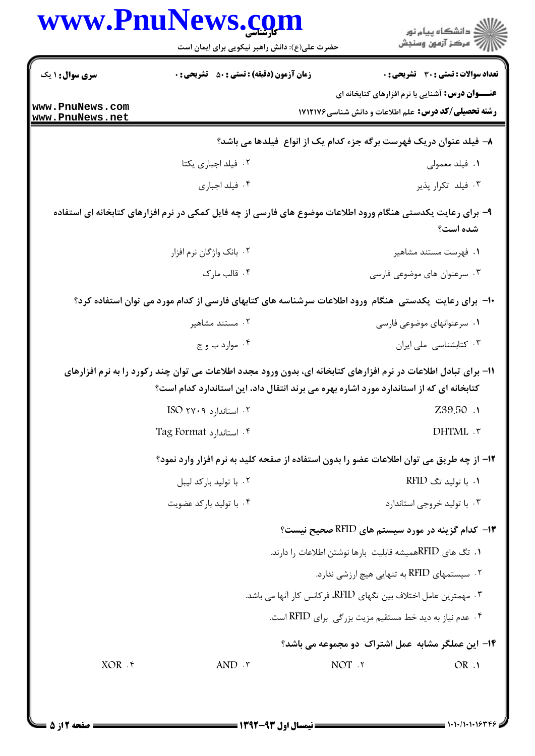|                 | حضرت علی(ع): دانش راهبر نیکویی برای ایمان است                                                                                                                                                              | ان دانشگاه پيام نور<br>اس مرکز آزمون وسنجش                                                                             |
|-----------------|------------------------------------------------------------------------------------------------------------------------------------------------------------------------------------------------------------|------------------------------------------------------------------------------------------------------------------------|
|                 |                                                                                                                                                                                                            |                                                                                                                        |
| سری سوال: ۱ یک  | <b>زمان آزمون (دقیقه) : تستی : 50 ٪ تشریحی : 0</b>                                                                                                                                                         | تعداد سوالات : تستى : 30 ٪ تشريحي : 0                                                                                  |
| www.PnuNews.com |                                                                                                                                                                                                            | <b>عنـــوان درس:</b> آشنایی با نرم افزارهای کتابخانه ای<br><b>رشته تحصیلی/کد درس:</b> علم اطلاعات و دانش شناسی ۱۷۱۲۱۷۶ |
| www.PnuNews.net |                                                                                                                                                                                                            | ۸– فیلد عنوان دریک فهرست برگه جزء کدام یک از انواع ً فیلدها می باشد؟                                                   |
|                 | ٠٢ فيلد اجباري يكتا                                                                                                                                                                                        | ۰۱ فیلد معمولی                                                                                                         |
|                 | ۰۴ فیلد اجباری                                                                                                                                                                                             | ۰۳ فیلد تکرار پذیر                                                                                                     |
|                 | ۹– برای رعایت یکدستی هنگام ورود اطلاعات موضوع های فارسی از چه فایل کمکی در نرم افزارهای کتابخانه ای استفاده                                                                                                | شده است؟                                                                                                               |
|                 | ۰۲ بانک واژگان نرم افزار                                                                                                                                                                                   | ۰۱ فهرست مستند مشاهير                                                                                                  |
|                 | ۰۴ قالب مارک                                                                                                                                                                                               | ۰۳ سرعنوان های موضوعی فارسی                                                                                            |
|                 | ∙ا− برای رعایت یکدستی هنگام ورود اطلاعات سرشناسه های کتابهای فارسی از کدام مورد می توان استفاده کرد؟                                                                                                       |                                                                                                                        |
|                 | ۰۲ مستند مشاهير                                                                                                                                                                                            | ۰۱ سرعنوانهای موضوعی فارسی                                                                                             |
|                 | ۰۴ موارد ب و ج                                                                                                                                                                                             | ٠٣ كتابشناسي ملي ايران                                                                                                 |
|                 | 11- برای تبادل اطلاعات در نرم افزارهای کتابخانه ای، بدون ورود مجدد اطلاعات می توان چند رکورد را به نرم افزارهای<br>کتابخانه ای که از استاندارد مورد اشاره بهره می برند انتقال داد، این استاندارد کدام است؟ |                                                                                                                        |
|                 |                                                                                                                                                                                                            |                                                                                                                        |
|                 | ۰۲ استاندا <sub>ر</sub> د ۲۷۰۹ ISO                                                                                                                                                                         | Z39.50 .1                                                                                                              |
|                 | ۴. استاندارد Tag Format                                                                                                                                                                                    | DHTML . ٣                                                                                                              |
|                 | ١٢- از چه طريق مي توان اطلاعات عضو را بدون استفاده از صفحه كليد به نرم افزار وارد نمود؟                                                                                                                    |                                                                                                                        |
|                 | ۰۲ با تولید بارکد لیبل                                                                                                                                                                                     | ۰۱ با تولید تگ RFID                                                                                                    |
|                 | ۰۴ با تولید بارکد عضویت                                                                                                                                                                                    | ۰۳ با تولید خروجی استاندارد                                                                                            |
|                 |                                                                                                                                                                                                            |                                                                                                                        |
|                 |                                                                                                                                                                                                            | ۰۱ تگ های RFIDهمیشه قابلیت بارها نوشتن اطلاعات را دارند.                                                               |
|                 |                                                                                                                                                                                                            | ۰۲ سیستمهای RFID به تنهایی هیچ ارزشی ندارد.                                                                            |
|                 |                                                                                                                                                                                                            | ۰۳ مهمترین عامل اختلاف بین تگهای RFID، فرکانس کار آنها می باشد.                                                        |
|                 |                                                                                                                                                                                                            | ۴ . عدم نیاز به دید خط مستقیم مزیت بزرگی برای RFID است.                                                                |
|                 |                                                                                                                                                                                                            | ۱۳- کدام گزینه در مورد سیستم های RFID صحیح نیست؟<br>۱۴– این عملگر مشابه عمل اشتراک دو مجموعه می باشد؟                  |

1.1./1.1.1634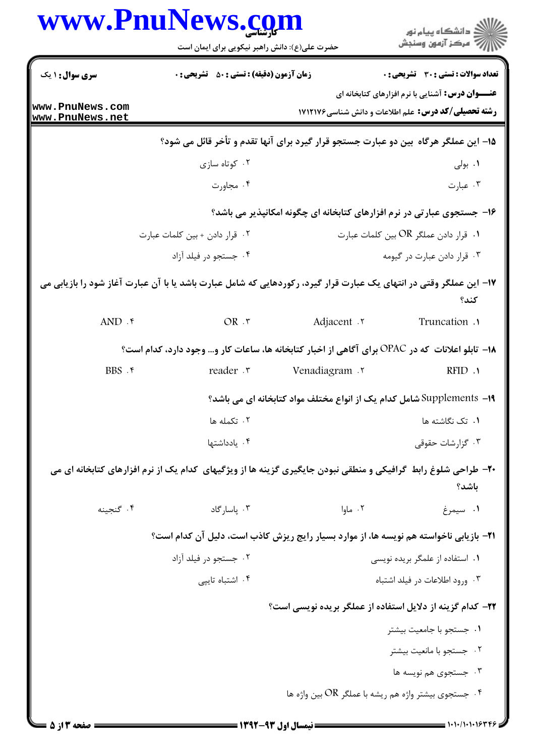|                                    | www.PnuNews.com                                                                                                       |                                                                        |                                                                                                                       |
|------------------------------------|-----------------------------------------------------------------------------------------------------------------------|------------------------------------------------------------------------|-----------------------------------------------------------------------------------------------------------------------|
|                                    | حضرت علی(ع): دانش راهبر نیکویی برای ایمان است                                                                         |                                                                        | ر<br>پر دانشگاه پيام نور<br>پر                                                                                        |
| <b>سری سوال : ۱ یک</b>             | <b>زمان آزمون (دقیقه) : تستی : 50 ٪ تشریحی : 0</b>                                                                    |                                                                        | <b>تعداد سوالات : تستی : 30 ٪ تشریحی : 0</b>                                                                          |
| www.PnuNews.com<br>www.PnuNews.net |                                                                                                                       |                                                                        | <b>عنـــوان درس:</b> آشنایی با نرم افزارهای کتابخانه ای<br><b>رشته تحصیلی/کد درس:</b> علم اطلاعات و دانش شناسی1۷۱۲۱۷۶ |
|                                    | ۱۵– این عملگر هرگاه بین دو عبارت جستجو قرار گیرد برای آنها تقدم و تأخر قائل می شود؟                                   |                                                                        |                                                                                                                       |
|                                    | ۰۲ کوتاه سازی                                                                                                         |                                                                        | ۰۱ بولی                                                                                                               |
|                                    | ۰۴ مجاورت                                                                                                             |                                                                        | ۰۳ عبارت                                                                                                              |
|                                    |                                                                                                                       | ۱۶- جستجوی عبارتی در نرم افزارهای کتابخانه ای چگونه امکانپذیر می باشد؟ |                                                                                                                       |
|                                    | ۰۲ قرار دادن + بين كلمات عبارت                                                                                        | ۰۱ قرار دادن عملگر OR بين كلمات عبارت                                  |                                                                                                                       |
|                                    | ۰۴ جستجو در فیلد آزاد                                                                                                 | ۰۳ قرار دادن عبارت در گیومه                                            |                                                                                                                       |
|                                    | ۱۷– این عملگر وقتی در انتهای یک عبارت قرار گیرد، رکوردهایی که شامل عبارت باشد یا با آن عبارت آغاز شود را بازیابی می   |                                                                        | كند؟                                                                                                                  |
| $AND .$ *                          | OR .r                                                                                                                 | Adjacent .                                                             | Truncation .                                                                                                          |
|                                    | ۱۸– تابلو اعلانات که در OPAC برای آگاهی از اخبار کتابخانه ها، ساعات کار و… وجود دارد، کدام است؟                       |                                                                        |                                                                                                                       |
| BBS.                               | reader .r                                                                                                             | <b>Venadiagram</b> ۲                                                   | RFID.                                                                                                                 |
|                                    |                                                                                                                       | 1۹- Supplements شامل کدام یک از انواع مختلف مواد کتابخانه ای می باشد؟  |                                                                                                                       |
|                                    | ۰۲ تکمله ها                                                                                                           |                                                                        | ٠١. تک نگاشته ها                                                                                                      |
|                                    | ۰۴ یادداشتها                                                                                                          |                                                                        | ۰۳ گزارشات حقوقی                                                                                                      |
|                                    | <b>۴۰</b> - طراحی شلوغ رابط گرافیکی و منطقی نبودن جایگیری گزینه ها از ویژگیهای کدام یک از نرم افزارهای کتابخانه ای می |                                                                        | باشد؟                                                                                                                 |
| ۰۴ گنجىنە                          | ۰۳ پاسارگاد                                                                                                           | ۰۲ ماوا                                                                | ۰۱ سیمرغ                                                                                                              |
|                                    | <b>۲۱</b> - بازیابی ناخواسته هم نویسه ها، از موارد بسیار رایج ریزش کاذب است، دلیل آن کدام است؟                        |                                                                        |                                                                                                                       |
|                                    | ۰۲ جستجو در فیلد آزاد                                                                                                 |                                                                        | ٠١ استفاده از علمگر بريده نويسى                                                                                       |
|                                    | ۰۴ اشتباه تايپى                                                                                                       |                                                                        | ۰۳ ورود اطلاعات در فیلد اشتباه                                                                                        |
|                                    |                                                                                                                       | ۲۲- کدام گزینه از دلایل استفاده از عملگر بریده نویسی است؟              |                                                                                                                       |
|                                    |                                                                                                                       |                                                                        | ۰۱ جستجو با جامعیت بیشتر                                                                                              |
|                                    |                                                                                                                       |                                                                        | ٠٢ جستجو با مانعيت بيشتر                                                                                              |
|                                    |                                                                                                                       |                                                                        | ۰۳ جستجوی هم نویسه ها                                                                                                 |
|                                    |                                                                                                                       | ۰۴ جستجوی بیشتر واژه هم ریشه با عملگر OR بین واژه ها $\cdot$           |                                                                                                                       |
| ا صفحه ۱۳ از ۵                     |                                                                                                                       | ــــ نیمسال اول ۹۳-۱۳۹۲                                                |                                                                                                                       |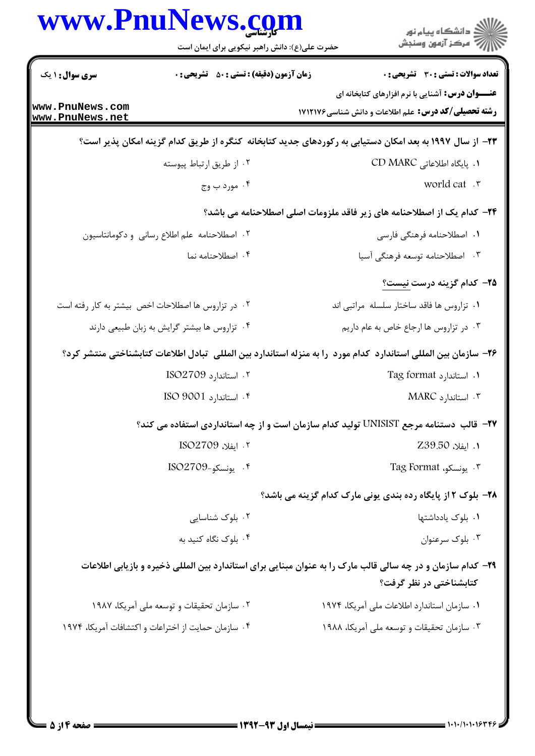|                                    | www.Pnulvews.com<br>حضرت علی(ع): دانش راهبر نیکویی برای ایمان است | ڪ دانشڪاه پيام نور<br>ر∕ آزمون وسنڊش                                                                                                   |
|------------------------------------|-------------------------------------------------------------------|----------------------------------------------------------------------------------------------------------------------------------------|
| <b>سری سوال : ۱ یک</b>             | <b>زمان آزمون (دقیقه) : تستی : 50 ٪ تشریحی : 0</b>                | <b>تعداد سوالات : تستی : 30 ٪ تشریحی : 0</b>                                                                                           |
| www.PnuNews.com<br>www.PnuNews.net |                                                                   | <b>عنـــوان درس:</b> آشنایی با نرم افزارهای کتابخانه ای<br><b>رشته تحصیلی/کد درس:</b> علم اطلاعات و دانش شناسی1۷۱۲۱۷۶                  |
|                                    |                                                                   | ۲۳– از سال ۱۹۹۷ به بعد امکان دستیابی به رکوردهای جدید کتابخانه کنگره از طریق کدام گزینه امکان پذیر است؟                                |
|                                    | ۰۲ از طریق ارتباط پیوسته                                          | ٠١. پايگاه اطلاعاتى CD MARC                                                                                                            |
|                                    | ۰۴ مورد ب وج                                                      | world cat .r                                                                                                                           |
|                                    |                                                                   | <b>۲۴</b> - کدام یک از اصطلاحنامه های زیر فاقد ملزومات اصلی اصطلاحنامه می باشد؟                                                        |
|                                    | ٠٢ اصطلاحنامه علم اطلاع رساني و دكومانتاسيون                      | ۰۱ اصطلاحنامه فرهنگی فارسی                                                                                                             |
|                                    | ۰۴ اصطلاحنامه نما                                                 | ۰۳ اصطلاحنامه توسعه فرهنگی آسیا                                                                                                        |
|                                    |                                                                   | <b>۲۵</b> – کدام گزینه درست نیست؟                                                                                                      |
|                                    | ۰۲ در تزاروس ها اصطلاحات اخص بیشتر به کار رفته است                | ۰۱ تزاروس ها فاقد ساختار سلسله مراتبی اند                                                                                              |
|                                    | ۰۴ تزاروس ها بیشتر گرایش به زبان طبیعی دارند                      | ٠٣ در تزاروس ها ارجاع خاص به عام داريم                                                                                                 |
|                                    |                                                                   | ۲۶– سازمان بین المللی استاندارد کدام مورد را به منزله استاندارد بین المللی تبادل اطلاعات کتابشناختی منتشر کرد؟                         |
|                                    | ۰۲ استاندارد ISO2709                                              | ۰۱ استاندارد Tag format                                                                                                                |
|                                    | ۴. استاندارد ISO 9001                                             | ۰۳ استاندارد MARC                                                                                                                      |
|                                    |                                                                   | <b>۲۷</b> – قالب دستنامه مرجع UNISIST تولید کدام سازمان است و از چه استانداردی استفاده می کند؟                                         |
|                                    | ٢. ايفلا، ISO2709                                                 | 1. ايفلا، Z39.50                                                                                                                       |
|                                    | ۴. يونسكو-ISO2709                                                 | ۰۳ يونسكو، Tag Format                                                                                                                  |
|                                    |                                                                   | <b>۲۸- بلوک ۲ از پایگاه رده بندی یونی مارک کدام گزینه می باشد؟</b>                                                                     |
|                                    | ۰۲ بلوک شناسایی                                                   | ۰۱ بلوک یادداشتها                                                                                                                      |
|                                    | ۰۴ بلوک نگاه کنید به                                              | ۰۳ بلوک سرعنوان                                                                                                                        |
|                                    |                                                                   | ۲۹- کدام سازمان و در چه سالی قالب مارک را به عنوان مبنایی برای استاندارد بین المللی ذخیره و بازیابی اطلاعات<br>کتابشناختی در نظر گرفت؟ |
|                                    | ۰۲ سازمان تحقیقات و توسعه ملی آمریکا، ۱۹۸۷                        | ۰۱ سازمان استاندارد اطلاعات ملی آمریکا، ۱۹۷۴                                                                                           |
|                                    | ۰۴ سازمان حمایت از اختراعات و اکتشافات آمریکا، ۱۹۷۴               | ۰۳ سازمان تحقیقات و توسعه ملی آمریکا، ۱۹۸۸                                                                                             |
|                                    |                                                                   |                                                                                                                                        |

 $\blacksquare$